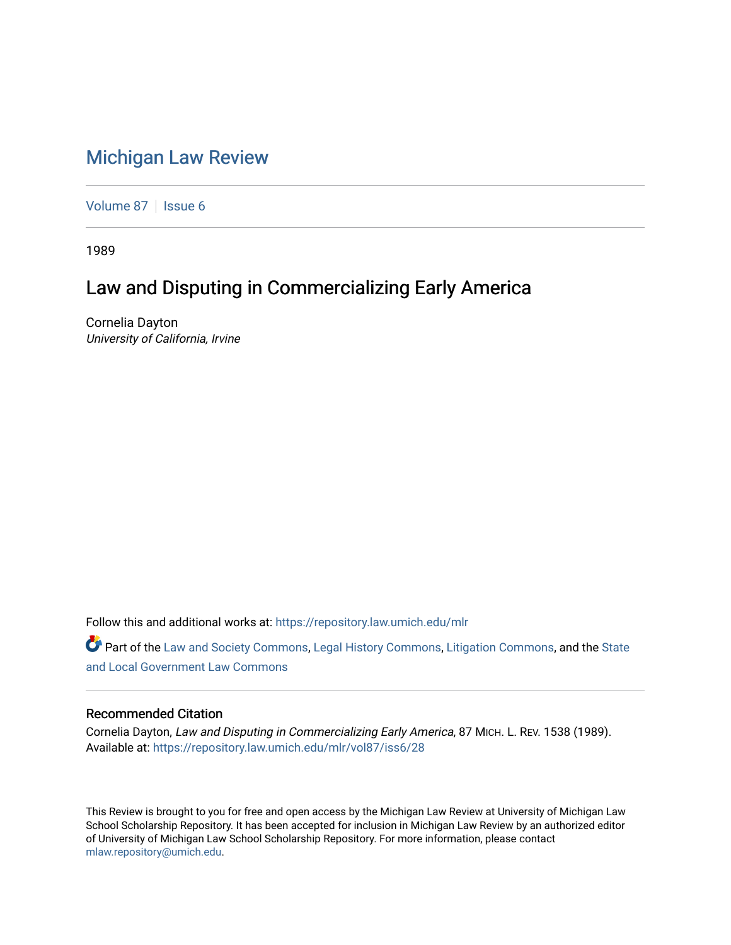## [Michigan Law Review](https://repository.law.umich.edu/mlr)

[Volume 87](https://repository.law.umich.edu/mlr/vol87) | [Issue 6](https://repository.law.umich.edu/mlr/vol87/iss6)

1989

# Law and Disputing in Commercializing Early America

Cornelia Dayton University of California, Irvine

Follow this and additional works at: [https://repository.law.umich.edu/mlr](https://repository.law.umich.edu/mlr?utm_source=repository.law.umich.edu%2Fmlr%2Fvol87%2Fiss6%2F28&utm_medium=PDF&utm_campaign=PDFCoverPages) 

Part of the [Law and Society Commons](http://network.bepress.com/hgg/discipline/853?utm_source=repository.law.umich.edu%2Fmlr%2Fvol87%2Fiss6%2F28&utm_medium=PDF&utm_campaign=PDFCoverPages), [Legal History Commons,](http://network.bepress.com/hgg/discipline/904?utm_source=repository.law.umich.edu%2Fmlr%2Fvol87%2Fiss6%2F28&utm_medium=PDF&utm_campaign=PDFCoverPages) [Litigation Commons](http://network.bepress.com/hgg/discipline/910?utm_source=repository.law.umich.edu%2Fmlr%2Fvol87%2Fiss6%2F28&utm_medium=PDF&utm_campaign=PDFCoverPages), and the State [and Local Government Law Commons](http://network.bepress.com/hgg/discipline/879?utm_source=repository.law.umich.edu%2Fmlr%2Fvol87%2Fiss6%2F28&utm_medium=PDF&utm_campaign=PDFCoverPages)

### Recommended Citation

Cornelia Dayton, Law and Disputing in Commercializing Early America, 87 MICH. L. REV. 1538 (1989). Available at: [https://repository.law.umich.edu/mlr/vol87/iss6/28](https://repository.law.umich.edu/mlr/vol87/iss6/28?utm_source=repository.law.umich.edu%2Fmlr%2Fvol87%2Fiss6%2F28&utm_medium=PDF&utm_campaign=PDFCoverPages) 

This Review is brought to you for free and open access by the Michigan Law Review at University of Michigan Law School Scholarship Repository. It has been accepted for inclusion in Michigan Law Review by an authorized editor of University of Michigan Law School Scholarship Repository. For more information, please contact [mlaw.repository@umich.edu.](mailto:mlaw.repository@umich.edu)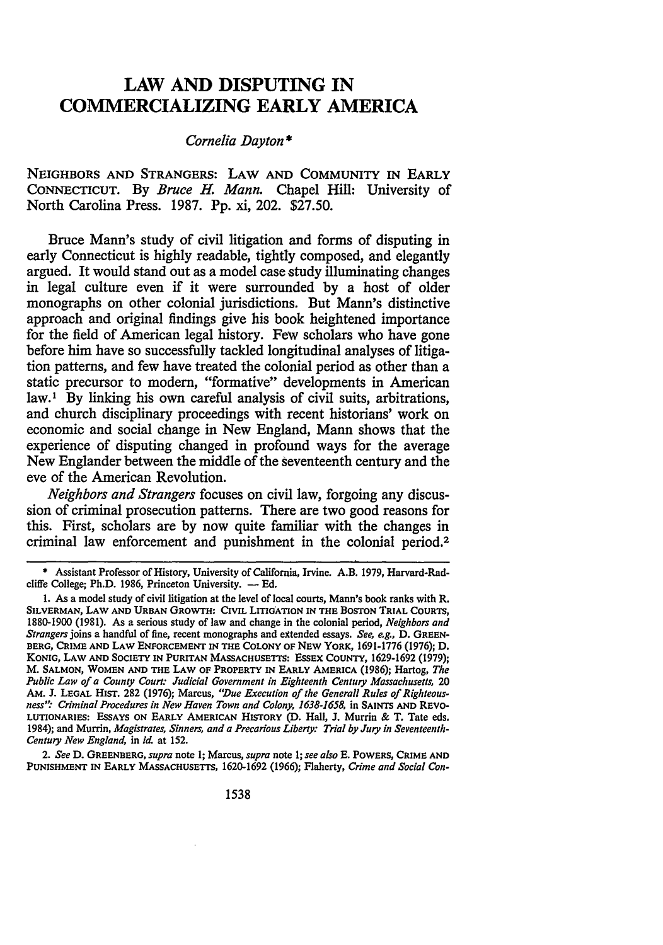### **LAW AND DISPUTING IN COMMERCIALIZING EARLY AMERICA**

#### *Cornelia Dayton\**

**NEIGHBORS AND STRANGERS: LAW AND COMMUNITY IN EARLY CONNECTICUT. By** *Bruce H. Mann.* Chapel Hill: University of North Carolina Press. **1987. Pp.** xi, 202. **\$27.50.**

Bruce Mann's study of civil litigation and forms of disputing in early Connecticut is **highly** readable, tightly composed, and elegantly argued. It would stand out as a model case study illuminating changes in legal culture even if it were surrounded **by** a host of older monographs on other colonial jurisdictions. But Mann's distinctive approach and original findings give his book heightened importance for the field of American legal history. Few scholars who have gone before him have so successfully tackled longitudinal analyses of litigation patterns, and few have treated the colonial period as other than a static precursor to modem, "formative" developments in American law.1 **By** linking his own careful analysis of civil suits, arbitrations, and church disciplinary proceedings with recent historians' work on economic and social change in New England, Mann shows that the experience of disputing changed in profound ways for the average New Englander between the middle of the seventeenth century and the eve of the American Revolution.

*Neighbors and Strangers* focuses on civil law, forgoing any discussion of criminal prosecution patterns. There are two good reasons for this. First, scholars are **by** now quite familiar with the changes in criminal law enforcement and punishment in the colonial period.<sup>2</sup>

2. *See* **D. GREENBERG,** *supra* **note 1; Marcus,** *supra* **note 1;** *see also* **E.** POWERS, **CRIME AND PUNISHMENT** IN **EARLY MASSACHUSETTS,** 1620-1692 (1966); Flaherty, *Crime and Social Con-*

<sup>\*</sup> Assistant Professor of History, University of California, Irvine. A.B. 1979, Harvard-Radcliffe College; Ph.D. 1986, Princeton University. - Ed.

<sup>1.</sup> As a model study of civil litigation at the level of local courts, Mann's book ranks with R. **SILVERMAN, LAW AND URBAN GROWTH: CIVIL LITIGATION IN THE BOSTON TRIAL COURTS,** 1880-1900 (1981). As a **serious study of law and change in the colonial period,** *Neighbors and Strangers* **joins a handful of fine, recent monographs and extended essays.** *See, e.g.,* **D. GREEN-BERG, CRIME AND LAW ENFORCEMENT IN THE COLONY OF NEW YORK,** 1691-1776 **(1976); D. KONIG, LAW AND SOCIETY IN PURITAN MASSACHUSETTS: ESSEX COUNTY, 1629-1692 (1979); M. SALMON, WOMEN AND** THE **LAW OF PROPERTY IN EARLY AMERICA (1986); Hartog,** *The Public Law of a County Court: Judicial Government in Eighteenth Century Massachusetts,* 20 **AM. J. LEGAL HIST.** 282 (1976); Marcus, *"Due Execution of the Generall Rules of Righteousness" Criminal Procedures in New Haven Town and Colony, 1638-1658,* **in SAINTS AND** REVO-**LUTIONARIES:** ESSAYS **ON EARLY** AMERICAN HISTORY **(D.** Hall, J. Murrin **&** T. **Tate eds.** 1984); and Murrin, *Magistrates, Sinners, and a Precarious Liberty: Trial by Jury in Seventeenth-Century New England,* **in** *id.* **at** 152.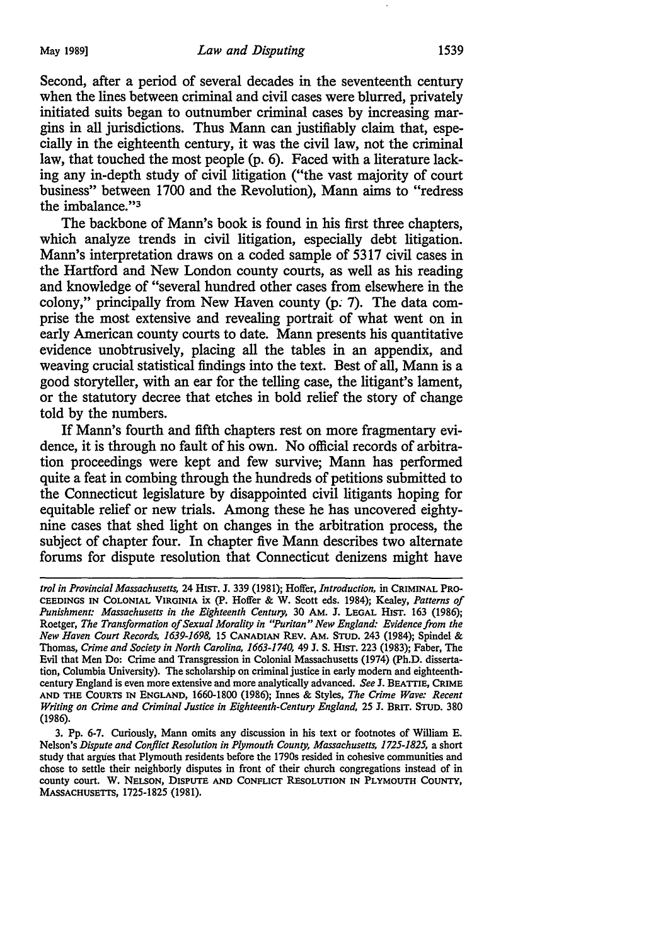Second, after a period of several decades in the seventeenth century when the lines between criminal and civil cases were blurred, privately initiated suits began to outnumber criminal cases by increasing margins in all jurisdictions. Thus Mann can justifiably claim that, especially in the eighteenth century, it was the civil law, not the criminal law, that touched the most people (p. 6). Faced with a literature lacking any in-depth study of civil litigation ("the vast majority of court business" between 1700 and the Revolution), Mann aims to "redress the imbalance."<sup>3</sup>

The backbone of Mann's book is found in his first three chapters, which analyze trends in civil litigation, especially debt litigation. Mann's interpretation draws on a coded sample of 5317 civil cases in the Hartford and New London county courts, as well as his reading and knowledge of "several hundred other cases from elsewhere in the colony," principally from New Haven county **(p.** 7). The data comprise the most extensive and revealing portrait of what went on in early American county courts to date. Mann presents his quantitative evidence unobtrusively, placing all the tables in an appendix, and weaving crucial statistical findings into the text. Best of all, Mann is a good storyteller, with an ear for the telling case, the litigant's lament, or the statutory decree that etches in bold relief the story of change told by the numbers.

If Mann's fourth and fifth chapters rest on more fragmentary evidence, it is through no fault of his own. No official records of arbitration proceedings were kept and few survive; Mann has performed quite a feat in combing through the hundreds of petitions submitted to the Connecticut legislature by disappointed civil litigants hoping for equitable relief or new trials. Among these he has uncovered eightynine cases that shed light on changes in the arbitration process, the subject of chapter four. In chapter five Mann describes two alternate forums for dispute resolution that Connecticut denizens might have

*trol in Provincial Massachusetts,* 24 HIsr. J. **339 (1981);** Hoffer, *Introduction,* in **CRIMINAL PRO-CEEDINGS IN COLONIAL** VIRGINIA ix (P. Hofler & W. Scott eds. 1984); Kealey, *Patterns of Punishment: Massachusetts in the Eighteenth Century,* 30 **AM.** J. **LEGAL HIsT.** 163 (1986); Roetger, *The Transformation of Sexual Morality in "Puritan" New England: Evidence from the New Haven Court Records, 1639-1698,* 15 **CANADIAN** RiV. **AM. STUD.** 243 (1984); Spindel & Thomas, *Crime and Society in North Carolina, 1663-1740,* 49 J. S. Hisr. 223 (1983); Faber, The Evil that Men Do: Crime and Transgression in Colonial Massachusetts (1974) (Ph.D. dissertation, Columbia University). The scholarship on criminal justice in early modem and eighteenthcentury England is even more extensive and more analytically advanced. *See* J. **BEATrE,** CRIME **AND THE COURTS** IN **ENGLAND,** 1660-1800 (1986); Innes & Styles, *The Crime Wave: Recent Writing on Crime and Criminal Justice in Eighteenth-Century England,* 25 J. BRrr. STUD. 380 (1986).

<sup>3.</sup> Pp. 6-7. Curiously, Mann omits any discussion in his text or footnotes of William E. Nelson's *Dispute and Conflict Resolution in Plymouth County, Massachusetts, 1725-1825,* a short study that argues that Plymouth residents before the 1790s resided in cohesive communities and chose to settle their neighborly disputes in front of their church congregations instead of in county court. W. **NELSON, DISPUTE AND CONFLIcr RESOLUTION IN PLYMOUTH COUNTY, MASSACHUSETTS,** 1725-1825 **(1981).**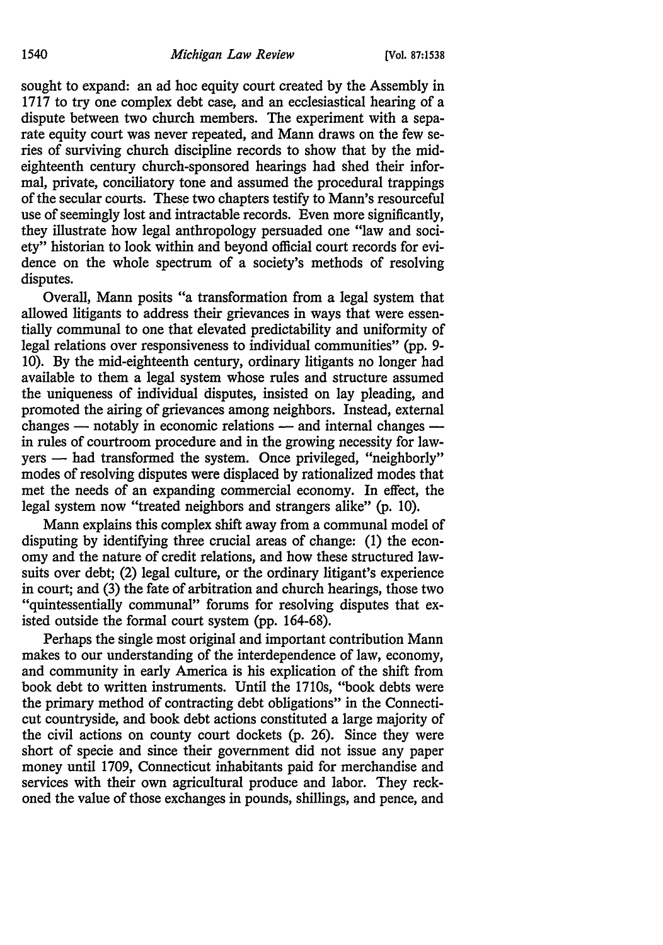sought to expand: an ad hoe equity court created by the Assembly in 1717 to try one complex debt case, and an ecclesiastical hearing of a dispute between two church members. The experiment with a separate equity court was never repeated, and Mann draws on the few series of surviving church discipline records to show that by the mideighteenth century church-sponsored hearings had shed their informal, private, conciliatory tone and assumed the procedural trappings of the secular courts. These two chapters testify to Mann's resourceful use of seemingly lost and intractable records. Even more significantly, they illustrate how legal anthropology persuaded one "law and society" historian to look within and beyond official court records for evidence on the whole spectrum of a society's methods of resolving disputes.

Overall, Mann posits "a transformation from a legal system that allowed litigants to address their grievances in ways that were essentially communal to one that elevated predictability and uniformity of legal relations over responsiveness to individual communities" (pp. 9- 10). By the mid-eighteenth century, ordinary litigants no longer had available to them a legal system whose rules and structure assumed the uniqueness of individual disputes, insisted on lay pleading, and promoted the airing of grievances among neighbors. Instead, external changes — notably in economic relations — and internal changes in rules of courtroom procedure and in the growing necessity for lawyers - had transformed the system. Once privileged, "neighborly" modes of resolving disputes were displaced by rationalized modes that met the needs of an expanding commercial economy. In effect, the legal system now "treated neighbors and strangers alike" (p. 10).

Mann explains this complex shift away from a communal model of disputing by identifying three crucial areas of change: (1) the economy and the nature of credit relations, and how these structured lawsuits over debt; (2) legal culture, or the ordinary litigant's experience in court; and (3) the fate of arbitration and church hearings, those two "quintessentially communal" forums for resolving disputes that existed outside the formal court system (pp. 164-68).

Perhaps the single most original and important contribution Mann makes to our understanding of the interdependence of law, economy, and community in early America is his explication of the shift from book debt to written instruments. Until the 1710s, "book debts were the primary method of contracting debt obligations" in the Connecticut countryside, and book debt actions constituted a large majority of the civil actions on county court dockets (p. 26). Since they were short of specie and since their government did not issue any paper money until 1709, Connecticut inhabitants paid for merchandise and services with their own agricultural produce and labor. They reckoned the value of those exchanges in pounds, shillings, and pence, and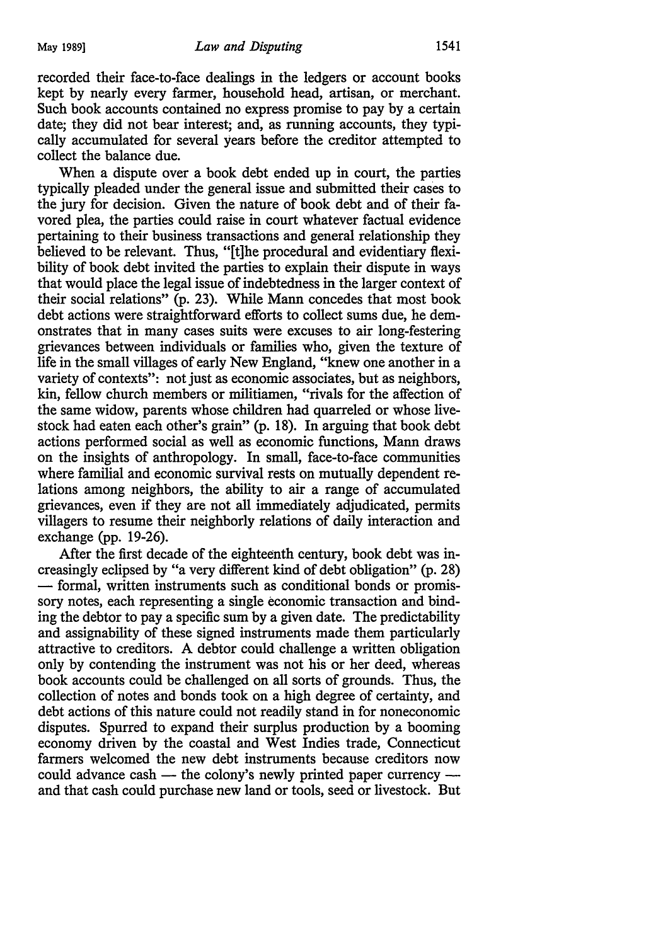**May 1989]**

recorded their face-to-face dealings in the ledgers or account books kept by nearly every farmer, household head, artisan, or merchant. Such book accounts contained no express promise to pay by a certain date; they did not bear interest; and, as running accounts, they typically accumulated for several years before the creditor attempted to collect the balance due.

When a dispute over a book debt ended up in court, the parties typically pleaded under the general issue and submitted their cases to the jury for decision. Given the nature of book debt and of their favored plea, the parties could raise in court whatever factual evidence pertaining to their business transactions and general relationship they believed to be relevant. Thus, "[t]he procedural and evidentiary flexibility of book debt invited the parties to explain their dispute in ways that would place the legal issue of indebtedness in the larger context of their social relations" (p. 23). While Mann concedes that most book debt actions were straightforward efforts to collect sums due, he demonstrates that in many cases suits were excuses to air long-festering grievances between individuals or families who, given the texture of life in the small villages of early New England, "knew one another in a variety of contexts": not just as economic associates, but as neighbors, kin, fellow church members or militiamen, "rivals for the affection of the same widow, parents whose children had quarreled or whose livestock had eaten each other's grain" (p. 18). In arguing that book debt actions performed social as well as economic functions, Mann draws on the insights of anthropology. In small, face-to-face communities where familial and economic survival rests on mutually dependent relations among neighbors, the ability to air a range of accumulated grievances, even if they are not all immediately adjudicated, permits villagers to resume their neighborly relations of daily interaction and exchange (pp. 19-26).

After the first decade of the eighteenth century, book debt was increasingly eclipsed by "a very different kind of debt obligation" (p. 28) - formal, written instruments such as conditional bonds or promissory notes, each representing a single economic transaction and binding the debtor to pay a specific sum by a given date. The predictability and assignability of these signed instruments made them particularly attractive to creditors. A debtor could challenge a written obligation only by contending the instrument was not his or her deed, whereas book accounts could be challenged on all sorts of grounds. Thus, the collection of notes and bonds took on a high degree of certainty, and debt actions of this nature could not readily stand in for noneconomic disputes. Spurred to expand their surplus production by a booming economy driven by the coastal and West Indies trade, Connecticut farmers welcomed the new debt instruments because creditors now could advance cash — the colony's newly printed paper currency and that cash could purchase new land or tools, seed or livestock. But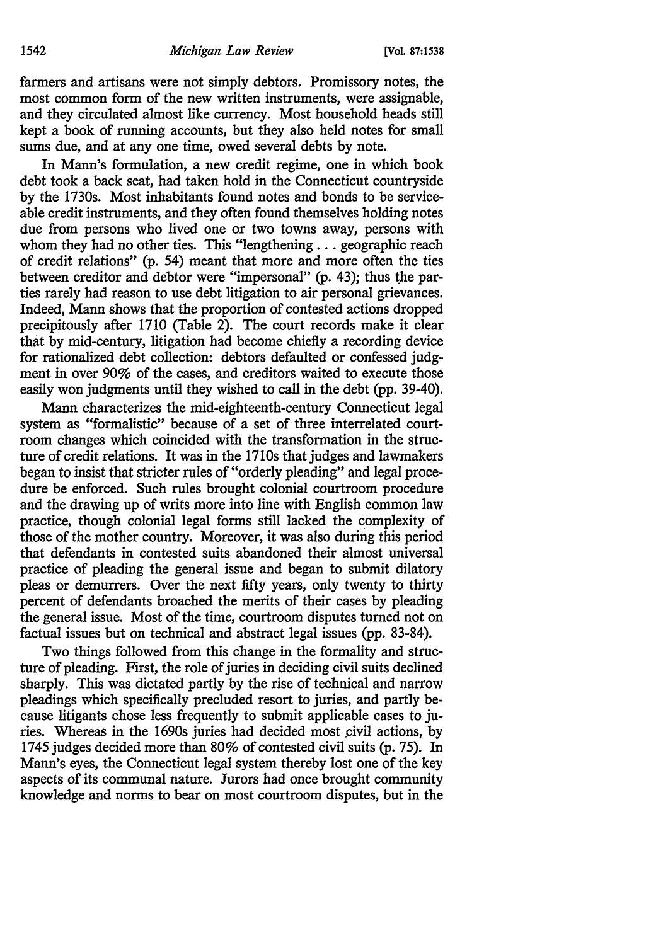farmers and artisans were not simply debtors. Promissory notes, the most common form of the new written instruments, were assignable, and they circulated almost like currency. Most household heads still kept a book of running accounts, but they also held notes for small sums due, and at any one time, owed several debts by note.

In Mann's formulation, a new credit regime, one in which book debt took a back seat, had taken hold in the Connecticut countryside by the 1730s. Most inhabitants found notes and bonds to be serviceable credit instruments, and they often found themselves holding notes due from persons who lived one or two towns away, persons with whom they had no other ties. This "lengthening... geographic reach of credit relations" (p. 54) meant that more and more often the ties between creditor and debtor were "impersonal" (p. 43); thus the parties rarely had reason to use debt litigation to air personal grievances. Indeed, Mann shows that the proportion of contested actions dropped precipitously after 1710 (Table 2). The court records make it clear that by mid-century, litigation had become chiefly a recording device for rationalized debt collection: debtors defaulted or confessed judgment in over 90% of the cases, and creditors waited to execute those easily won judgments until they wished to call in the debt (pp. 39-40).

Mann characterizes the mid-eighteenth-century Connecticut legal system as "formalistic" because of a set of three interrelated courtroom changes which coincided with the transformation in the structure of credit relations. It was in the 1710s that judges and lawmakers began to insist that stricter rules of "orderly pleading" and legal procedure be enforced. Such rules brought colonial courtroom procedure and the drawing up of writs more into line with English common law practice, though colonial legal forms still lacked the complexity of those of the mother country. Moreover, it was also during this period that defendants in contested suits abandoned their almost universal practice of pleading the general issue and began to submit dilatory pleas or demurrers. Over the next fifty years, only twenty to thirty percent of defendants broached the merits of their cases by pleading the general issue. Most of the time, courtroom disputes turned not on factual issues but on technical and abstract legal issues (pp. 83-84).

Two things followed from this change in the formality and structure of pleading. First, the role of juries in deciding civil suits declined sharply. This was dictated partly by the rise of technical and narrow pleadings which specifically precluded resort to juries, and partly because litigants chose less frequently to submit applicable cases to juries. Whereas in the 1690s juries had decided most civil actions, by 1745 judges decided more than 80% of contested civil suits (p. 75). In Mann's eyes, the Connecticut legal system thereby lost one of the key aspects of its communal nature. Jurors had once brought community knowledge and norms to bear on most courtroom disputes, but in the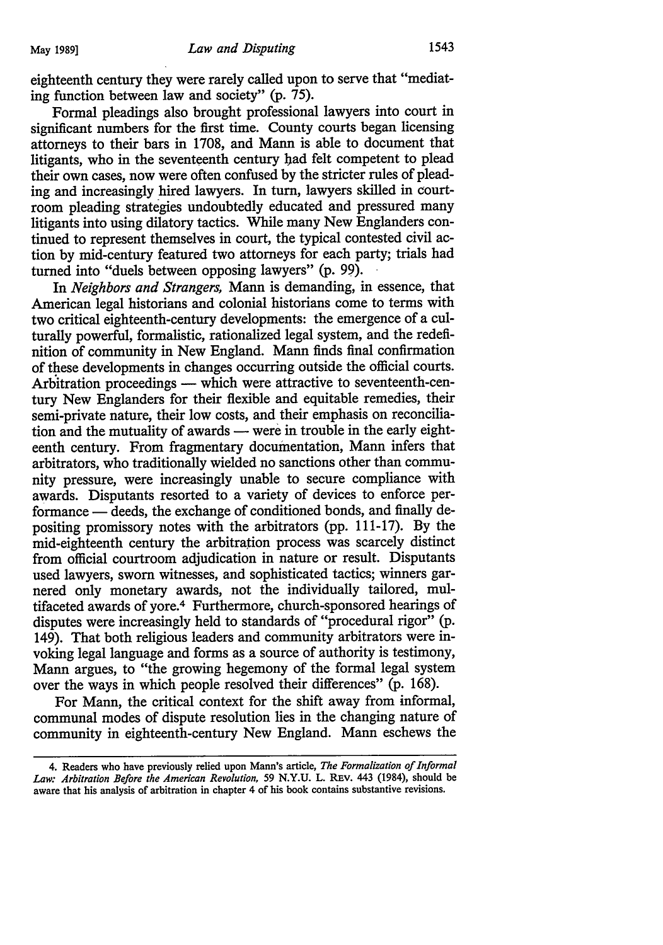eighteenth century they were rarely called upon to serve that "mediating function between law and society" (p. 75).

Formal pleadings also brought professional lawyers into court in significant numbers for the first time. County courts began licensing attorneys to their bars in 1708, and Mann is able to document that litigants, who in the seventeenth century bad felt competent to plead their own cases, now were often confused by the stricter rules of pleading and increasingly hired lawyers. In turn, lawyers skilled in courtroom pleading strategies undoubtedly educated and pressured many litigants into using dilatory tactics. While many New Englanders continued to represent themselves in court, the typical contested civil action by mid-century featured two attorneys for each party; trials had turned into "duels between opposing lawyers" (p. 99).

In *Neighbors and Strangers,* Mann is demanding, in essence, that American legal historians and colonial historians come to terms with two critical eighteenth-century developments: the emergence of a culturally powerful, formalistic, rationalized legal system, and the redefinition of community in New England. Mann finds final confirmation of these developments in changes occurring outside the official courts. Arbitration proceedings — which were attractive to seventeenth-century New Englanders for their flexible and equitable remedies, their semi-private nature, their low costs, and their emphasis on reconciliation and the mutuality of awards **-** were in trouble in the early eighteenth century. From fragmentary documentation, Mann infers that arbitrators, who traditionally wielded no sanctions other than community pressure, were increasingly unable to secure compliance with awards. Disputants resorted to a variety of devices to enforce performance **-** deeds, the exchange of conditioned bonds, and finally depositing promissory notes with the arbitrators (pp. 111-17). By the mid-eighteenth century the arbitration process was scarcely distinct from official courtroom adjudication in nature or result. Disputants used lawyers, sworn witnesses, and sophisticated tactics; winners garnered only monetary awards, not the individually tailored, multifaceted awards of yore.4 Furthermore, church-sponsored hearings of disputes were increasingly held to standards of "procedural rigor" (p. 149). That both religious leaders and community arbitrators were invoking legal language and forms as a source of authority is testimony, Mann argues, to "the growing hegemony of the formal legal system over the ways in which people resolved their differences" (p. 168).

For Mann, the critical context for the shift away from informal, communal modes of dispute resolution lies in the changing nature of community in eighteenth-century New England. Mann eschews the

**<sup>4.</sup>** Readers **who** have previously relied upon **Mann's** article, *The Formalization of Informal Law: Arbitration Before the American Revolution,* **59 N.Y.U.** L. **Rav.** 443 (1984), should be aware that **his** analysis of arbitration in chapter 4 of his book contains substantive revisions.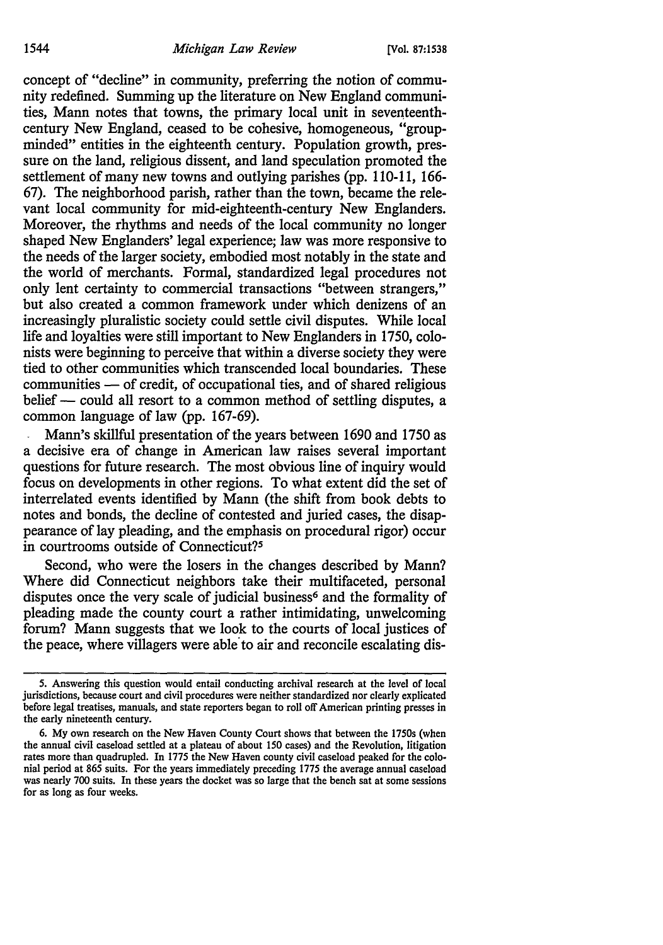concept of "decline" in community, preferring the notion of community redefined. Summing up the literature on New England communities, Mann notes that towns, the primary local unit in seventeenthcentury New England, ceased to be cohesive, homogeneous, "groupminded" entities in the eighteenth century. Population growth, pressure on the land, religious dissent, and land speculation promoted the settlement of many new towns and outlying parishes (pp. 110-11, 166- 67). The neighborhood parish, rather than the town, became the relevant local community for mid-eighteenth-century New Englanders. Moreover, the rhythms and needs of the local community no longer shaped New Englanders' legal experience; law was more responsive to the needs of the larger society, embodied most notably in the state and the world of merchants. Formal, standardized legal procedures not only lent certainty to commercial transactions "between strangers," but also created a common framework under which denizens of an increasingly pluralistic society could settle civil disputes. While local life and loyalties were still important to New Englanders in 1750, colonists were beginning to perceive that within a diverse society they were tied to other communities which transcended local boundaries. These communities - of credit, of occupational ties, and of shared religious belief - could all resort to a common method of settling disputes, a common language of law (pp. 167-69).

Mann's skillful presentation of the years between 1690 and 1750 as a decisive era of change in American law raises several important questions for future research. The most obvious line of inquiry would focus on developments in other regions. To what extent did the set of interrelated events identified by Mann (the shift from book debts to notes and bonds, the decline of contested and juried cases, the disappearance of lay pleading, and the emphasis on procedural rigor) occur in courtrooms outside of Connecticut?5

Second, who were the losers in the changes described by Mann? Where did Connecticut neighbors take their multifaceted, personal disputes once the very scale of judicial business<sup>6</sup> and the formality of pleading made the county court a rather intimidating, unwelcoming forum? Mann suggests that we look to the courts of local justices of the peace, where villagers were able'to air and reconcile escalating dis-

**<sup>5.</sup>** Answering this question would entail conducting archival research at the level of local jurisdictions, because court and civil procedures were neither standardized nor clearly explicated before legal treatises, manuals, and state reporters began to roll off American printing presses in the early nineteenth century.

<sup>6.</sup> My own research on the New Haven County Court shows that between the 1750s (when the annual civil caseload settled at a plateau of about 150 cases) and the Revolution, litigation rates more than quadrupled. In 1775 the New Haven county civil caseload peaked for the colonial period at 865 suits. For the years immediately preceding 1775 the average annual caseload was nearly 700 suits. In these years the docket was so large that the bench sat at some sessions for as long as four weeks.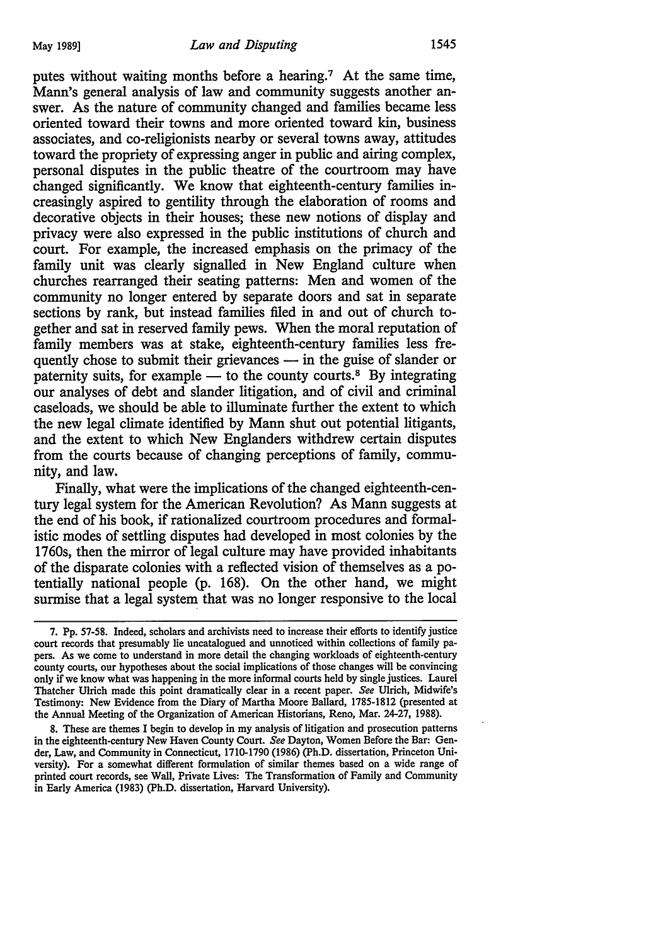putes without waiting months before a hearing.<sup>7</sup> At the same time, Mann's general analysis of law and community suggests another answer. As the nature of community changed and families became less oriented toward their towns and more oriented toward kin, business associates, and co-religionists nearby or several towns away, attitudes toward the propriety of expressing anger in public and airing complex, personal disputes in the public theatre of the courtroom may have changed significantly. We know that eighteenth-century families increasingly aspired to gentility through the elaboration of rooms and decorative objects in their houses; these new notions of display and privacy were also expressed in the public institutions of church and court. For example, the increased emphasis on the primacy of the family unit was clearly signalled in New England culture when churches rearranged their seating patterns: Men and women of the community no longer entered by separate doors and sat in separate sections by rank, but instead families filed in and out of church together and sat in reserved family pews. When the moral reputation of family members was at stake, eighteenth-century families less frequently chose to submit their grievances **-** in the guise of slander or paternity suits, for example **-** to the county courts.8 By integrating our analyses of debt and slander litigation, and of civil and criminal caseloads, we should be able to illuminate further the extent to which the new legal climate identified by Mann shut out potential litigants, and the extent to which New Englanders withdrew certain disputes from the courts because of changing perceptions of family, community, and law.

Finally, what were the implications of the changed eighteenth-century legal system for the American Revolution? As Mann suggests at the end of his book, if rationalized courtroom procedures and formalistic modes of settling disputes had developed in most colonies by the 1760s, then the mirror of legal culture may have provided inhabitants of the disparate colonies with a reflected vision of themselves as a potentially national people (p. 168). On the other hand, we might surmise that a legal system that was no longer responsive to the local

**<sup>7.</sup> Pp.** 57-58. Indeed, scholars and archivists need to increase their efforts to identify justice court records that presumably lie uncatalogued and unnoticed within collections of family papers. As we come to understand in more detail the changing workloads of eighteenth-century county courts, our hypotheses about the social implications of those changes will be convincing only if we know what was happening in the more informal courts held by single justices. Laurel Thatcher Ulrich made this point dramatically clear in a recent paper. See Ulrich, Midwife's Testimony: New Evidence from the Diary of Martha Moore Ballard, 1785-1812 (presented at the Annual Meeting of the Organization of American Historians, Reno, Mar. 24-27, 1988).

<sup>8.</sup> These are themes I begin to develop in my analysis of litigation and prosecution patterns in the eighteenth-century New Haven County Court. See Dayton, Women Before the Bar: Gender, Law, and Community in Connecticut, 1710-1790 (1986) (Ph.D. dissertation, Princeton University). For a somewhat different formulation of similar themes based on a wide range of printed court records, see Wall, Private Lives: The Transformation of Family and Community in Early America (1983) (Ph.D. dissertation, Harvard University).